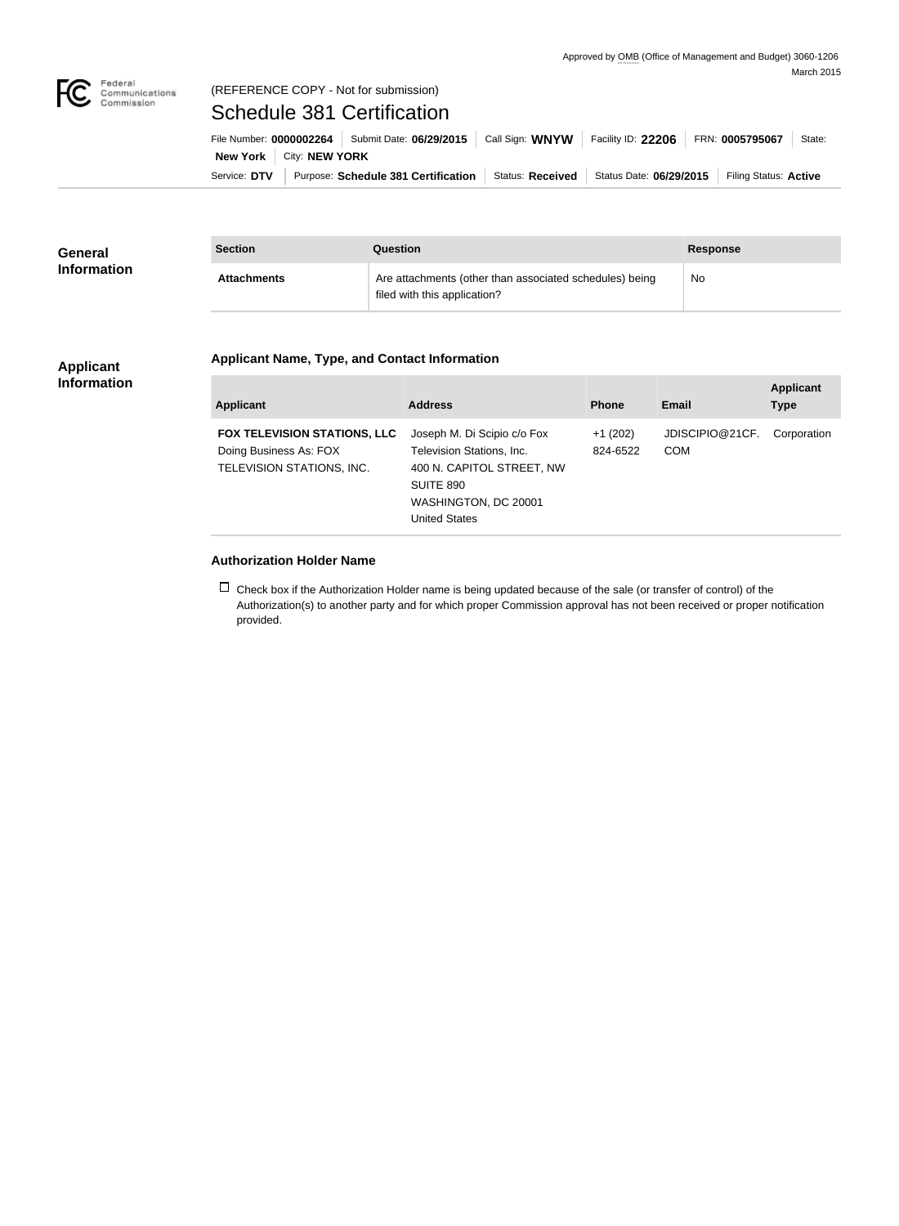

#### Federal<br>Communications<br>Commission (REFERENCE COPY - Not for submission)

# Schedule 381 Certification

|                                  | File Number: 0000002264   Submit Date: 06/29/2015   Call Sign: WNYW |                  | Facility ID: 22206      | FRN: 0005795067       | State: |
|----------------------------------|---------------------------------------------------------------------|------------------|-------------------------|-----------------------|--------|
| <b>New York   City: NEW YORK</b> |                                                                     |                  |                         |                       |        |
| Service: DTV                     | Purpose: Schedule 381 Certification                                 | Status: Received | Status Date: 06/29/2015 | Filing Status: Active |        |

| <b>General</b>     | <b>Section</b>     | Question                                                                                | <b>Response</b> |
|--------------------|--------------------|-----------------------------------------------------------------------------------------|-----------------|
| <b>Information</b> | <b>Attachments</b> | Are attachments (other than associated schedules) being<br>filed with this application? | No              |

#### **Applicant Information**

### **Applicant Name, Type, and Contact Information**

| Applicant                                                                                  | <b>Address</b>                                                                                                                                     | <b>Phone</b>          | Email                         | <b>Applicant</b><br><b>Type</b> |
|--------------------------------------------------------------------------------------------|----------------------------------------------------------------------------------------------------------------------------------------------------|-----------------------|-------------------------------|---------------------------------|
| <b>FOX TELEVISION STATIONS, LLC</b><br>Doing Business As: FOX<br>TELEVISION STATIONS, INC. | Joseph M. Di Scipio c/o Fox<br>Television Stations, Inc.<br>400 N. CAPITOL STREET, NW<br>SUITE 890<br>WASHINGTON, DC 20001<br><b>United States</b> | $+1(202)$<br>824-6522 | JDISCIPIO@21CF.<br><b>COM</b> | Corporation                     |

### **Authorization Holder Name**

 $\Box$  Check box if the Authorization Holder name is being updated because of the sale (or transfer of control) of the Authorization(s) to another party and for which proper Commission approval has not been received or proper notification provided.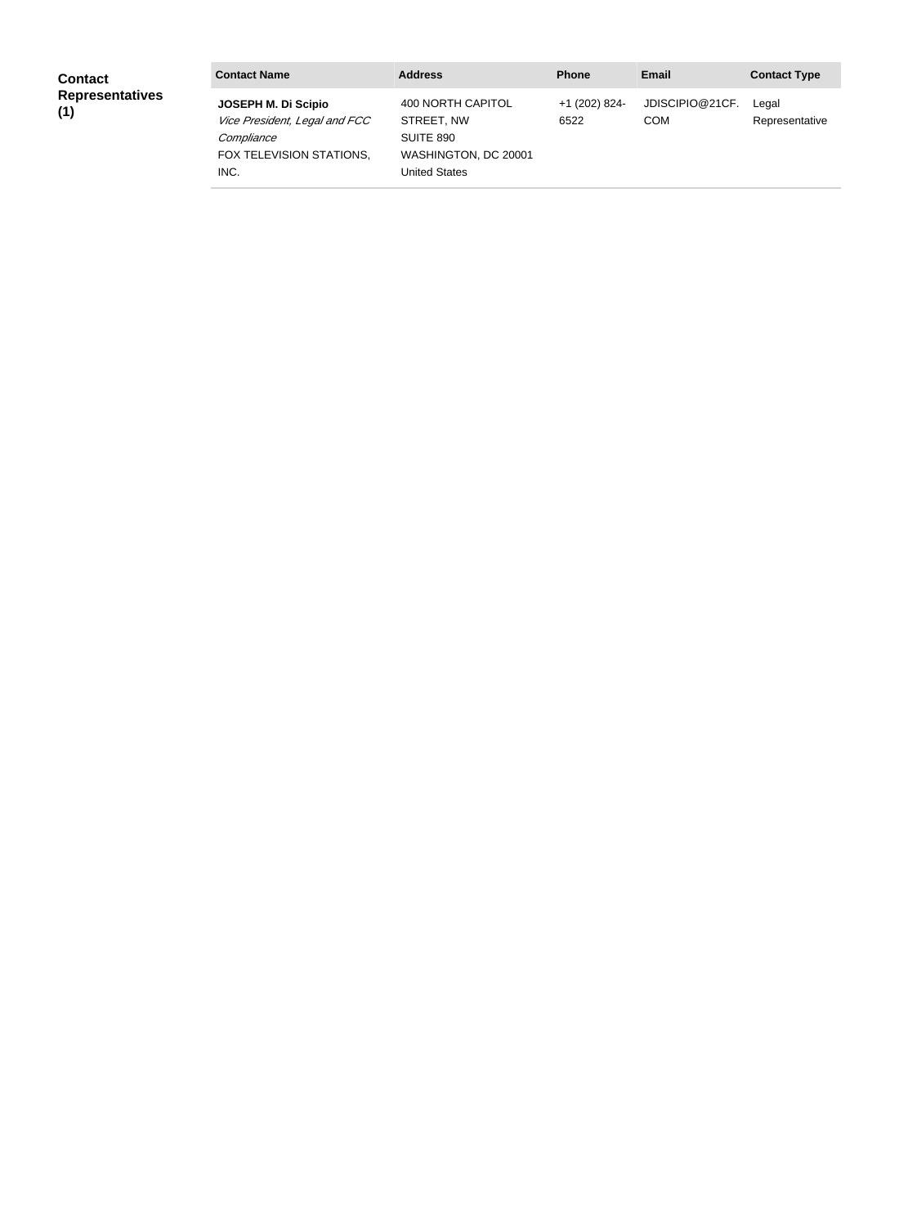| <b>Contact</b>                | <b>Contact Name</b>                                                                                    | <b>Address</b>                                                                                      | <b>Phone</b>          | Email                         | <b>Contact Type</b>     |
|-------------------------------|--------------------------------------------------------------------------------------------------------|-----------------------------------------------------------------------------------------------------|-----------------------|-------------------------------|-------------------------|
| <b>Representatives</b><br>(1) | JOSEPH M. Di Scipio<br>Vice President, Legal and FCC<br>Compliance<br>FOX TELEVISION STATIONS,<br>INC. | 400 NORTH CAPITOL<br>STREET, NW<br><b>SUITE 890</b><br>WASHINGTON, DC 20001<br><b>United States</b> | +1 (202) 824-<br>6522 | JDISCIPIO@21CF.<br><b>COM</b> | Legal<br>Representative |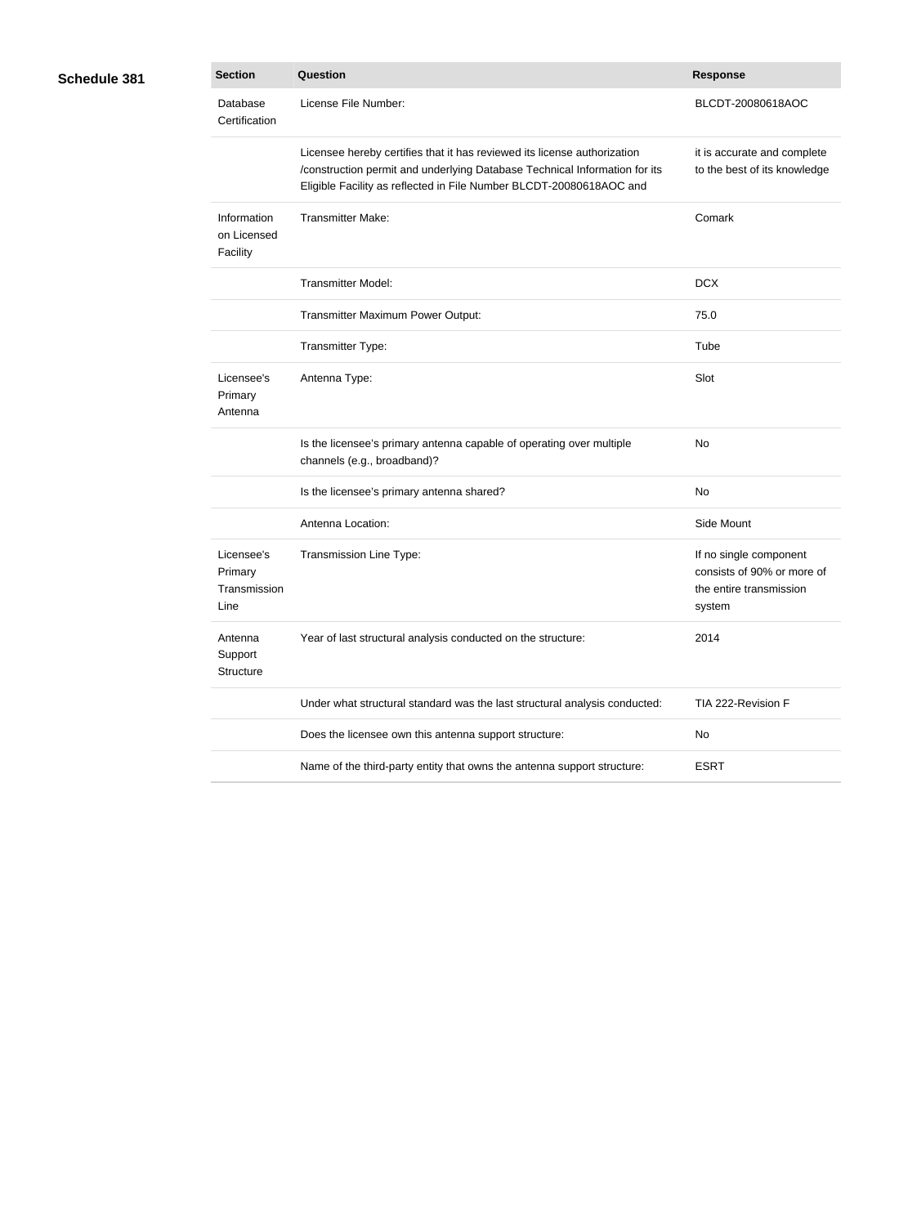## **Schedule 381**

| <b>Section</b>                                | Question                                                                                                                                                                                                                      | <b>Response</b>                                                                           |
|-----------------------------------------------|-------------------------------------------------------------------------------------------------------------------------------------------------------------------------------------------------------------------------------|-------------------------------------------------------------------------------------------|
| Database<br>Certification                     | License File Number:                                                                                                                                                                                                          | BLCDT-20080618AOC                                                                         |
|                                               | Licensee hereby certifies that it has reviewed its license authorization<br>/construction permit and underlying Database Technical Information for its<br>Eligible Facility as reflected in File Number BLCDT-20080618AOC and | it is accurate and complete<br>to the best of its knowledge                               |
| Information<br>on Licensed<br>Facility        | <b>Transmitter Make:</b>                                                                                                                                                                                                      | Comark                                                                                    |
|                                               | <b>Transmitter Model:</b>                                                                                                                                                                                                     | <b>DCX</b>                                                                                |
|                                               | Transmitter Maximum Power Output:                                                                                                                                                                                             | 75.0                                                                                      |
|                                               | Transmitter Type:                                                                                                                                                                                                             | Tube                                                                                      |
| Licensee's<br>Primary<br>Antenna              | Antenna Type:                                                                                                                                                                                                                 | Slot                                                                                      |
|                                               | Is the licensee's primary antenna capable of operating over multiple<br>channels (e.g., broadband)?                                                                                                                           | No                                                                                        |
|                                               | Is the licensee's primary antenna shared?                                                                                                                                                                                     | No                                                                                        |
|                                               | Antenna Location:                                                                                                                                                                                                             | Side Mount                                                                                |
| Licensee's<br>Primary<br>Transmission<br>Line | Transmission Line Type:                                                                                                                                                                                                       | If no single component<br>consists of 90% or more of<br>the entire transmission<br>system |
| Antenna<br>Support<br>Structure               | Year of last structural analysis conducted on the structure:                                                                                                                                                                  | 2014                                                                                      |
|                                               | Under what structural standard was the last structural analysis conducted:                                                                                                                                                    | TIA 222-Revision F                                                                        |
|                                               | Does the licensee own this antenna support structure:                                                                                                                                                                         | No                                                                                        |
|                                               | Name of the third-party entity that owns the antenna support structure:                                                                                                                                                       | <b>ESRT</b>                                                                               |
|                                               |                                                                                                                                                                                                                               |                                                                                           |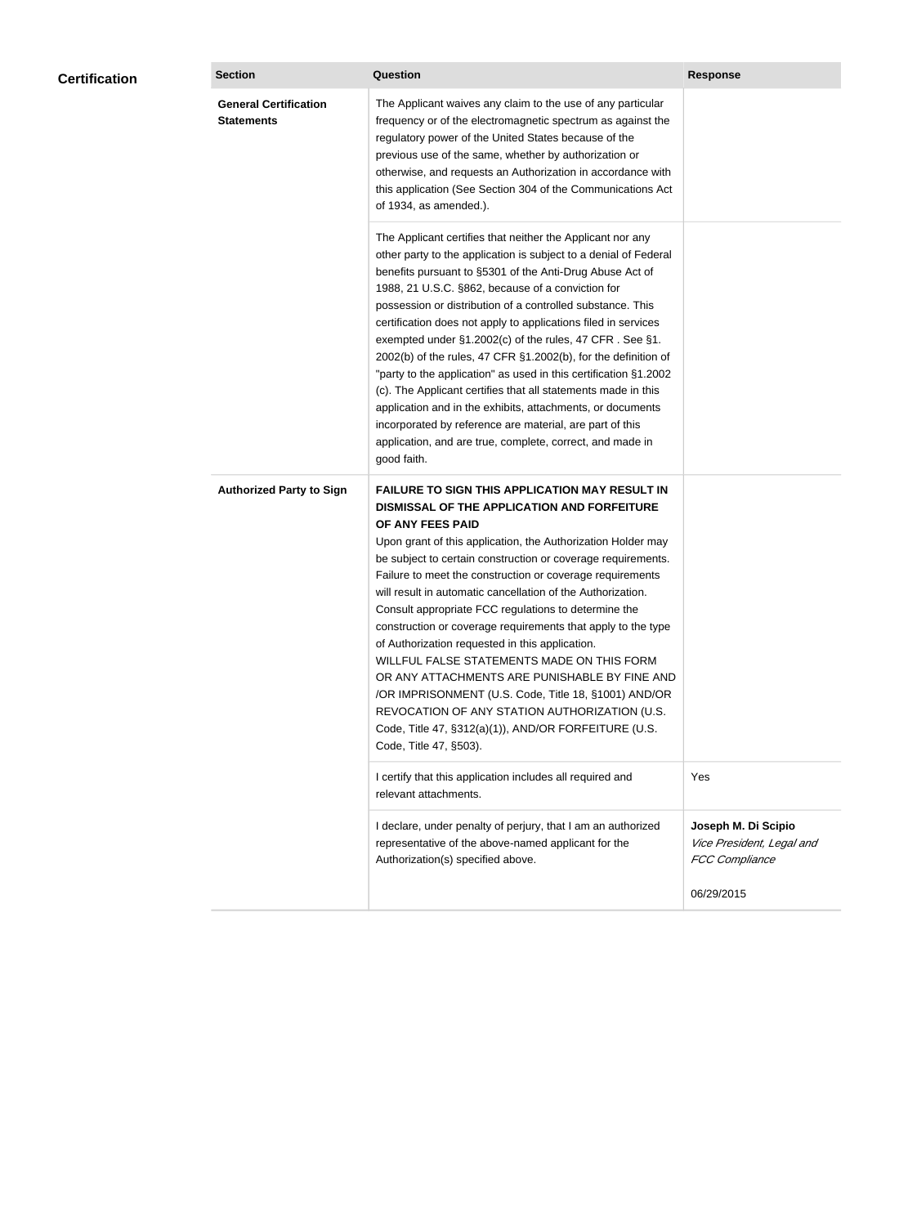| <b>Certification</b> | <b>Section</b>                                    | Question                                                                                                                                                                                                                                                                                                                                                                                                                                                                                                                                                                                                                                                                                                                                                                                                                                                  | <b>Response</b>                                                           |
|----------------------|---------------------------------------------------|-----------------------------------------------------------------------------------------------------------------------------------------------------------------------------------------------------------------------------------------------------------------------------------------------------------------------------------------------------------------------------------------------------------------------------------------------------------------------------------------------------------------------------------------------------------------------------------------------------------------------------------------------------------------------------------------------------------------------------------------------------------------------------------------------------------------------------------------------------------|---------------------------------------------------------------------------|
|                      | <b>General Certification</b><br><b>Statements</b> | The Applicant waives any claim to the use of any particular<br>frequency or of the electromagnetic spectrum as against the<br>regulatory power of the United States because of the<br>previous use of the same, whether by authorization or<br>otherwise, and requests an Authorization in accordance with<br>this application (See Section 304 of the Communications Act<br>of 1934, as amended.).                                                                                                                                                                                                                                                                                                                                                                                                                                                       |                                                                           |
|                      |                                                   | The Applicant certifies that neither the Applicant nor any<br>other party to the application is subject to a denial of Federal<br>benefits pursuant to §5301 of the Anti-Drug Abuse Act of<br>1988, 21 U.S.C. §862, because of a conviction for<br>possession or distribution of a controlled substance. This<br>certification does not apply to applications filed in services<br>exempted under §1.2002(c) of the rules, 47 CFR. See §1.<br>2002(b) of the rules, 47 CFR §1.2002(b), for the definition of<br>"party to the application" as used in this certification §1.2002<br>(c). The Applicant certifies that all statements made in this<br>application and in the exhibits, attachments, or documents<br>incorporated by reference are material, are part of this<br>application, and are true, complete, correct, and made in<br>good faith.   |                                                                           |
|                      | <b>Authorized Party to Sign</b>                   | <b>FAILURE TO SIGN THIS APPLICATION MAY RESULT IN</b><br>DISMISSAL OF THE APPLICATION AND FORFEITURE<br>OF ANY FEES PAID<br>Upon grant of this application, the Authorization Holder may<br>be subject to certain construction or coverage requirements.<br>Failure to meet the construction or coverage requirements<br>will result in automatic cancellation of the Authorization.<br>Consult appropriate FCC regulations to determine the<br>construction or coverage requirements that apply to the type<br>of Authorization requested in this application.<br>WILLFUL FALSE STATEMENTS MADE ON THIS FORM<br>OR ANY ATTACHMENTS ARE PUNISHABLE BY FINE AND<br>/OR IMPRISONMENT (U.S. Code, Title 18, §1001) AND/OR<br>REVOCATION OF ANY STATION AUTHORIZATION (U.S.<br>Code, Title 47, §312(a)(1)), AND/OR FORFEITURE (U.S.<br>Code, Title 47, §503). |                                                                           |
|                      |                                                   | I certify that this application includes all required and<br>relevant attachments.                                                                                                                                                                                                                                                                                                                                                                                                                                                                                                                                                                                                                                                                                                                                                                        | Yes                                                                       |
|                      |                                                   | I declare, under penalty of perjury, that I am an authorized<br>representative of the above-named applicant for the<br>Authorization(s) specified above.                                                                                                                                                                                                                                                                                                                                                                                                                                                                                                                                                                                                                                                                                                  | Joseph M. Di Scipio<br>Vice President, Legal and<br><b>FCC Compliance</b> |
|                      |                                                   |                                                                                                                                                                                                                                                                                                                                                                                                                                                                                                                                                                                                                                                                                                                                                                                                                                                           | 06/29/2015                                                                |